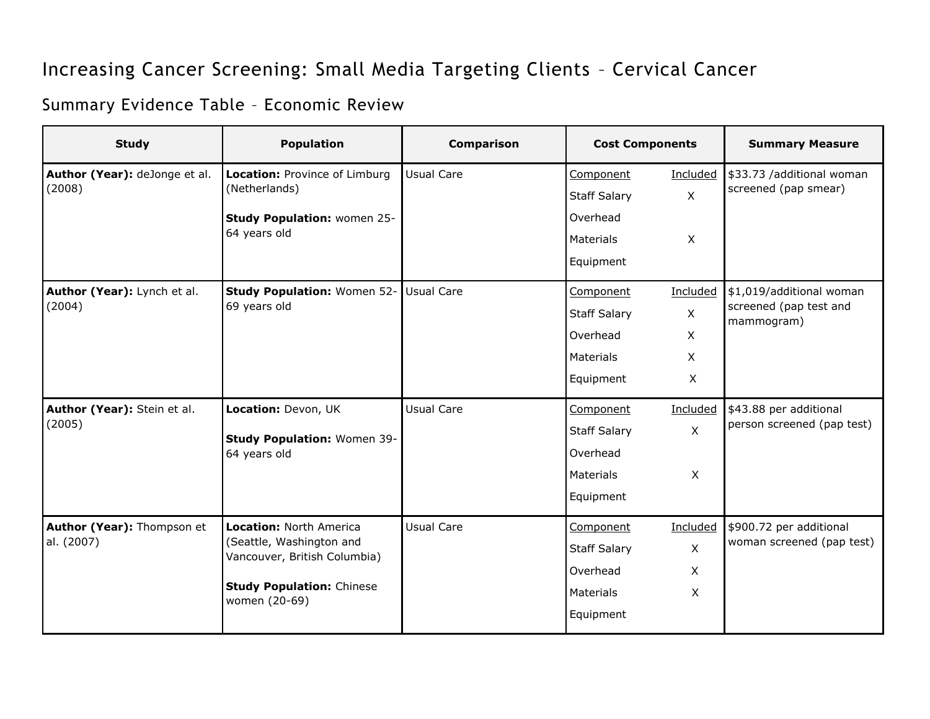## Increasing Cancer Screening: Small Media Targeting Clients – Cervical Cancer

## Summary Evidence Table – Economic Review

| <b>Study</b>                             | <b>Population</b>                                                                                                                        | Comparison        | <b>Cost Components</b> |                | <b>Summary Measure</b>                                           |
|------------------------------------------|------------------------------------------------------------------------------------------------------------------------------------------|-------------------|------------------------|----------------|------------------------------------------------------------------|
| Author (Year): deJonge et al.<br>(2008)  | Location: Province of Limburg<br>(Netherlands)                                                                                           | Usual Care        | Component              | Included       | \$33.73 /additional woman<br>screened (pap smear)                |
|                                          |                                                                                                                                          |                   | <b>Staff Salary</b>    | $\mathsf{X}$   |                                                                  |
|                                          | Study Population: women 25-<br>64 years old                                                                                              |                   | Overhead               |                |                                                                  |
|                                          |                                                                                                                                          |                   | <b>Materials</b>       | $\mathsf{X}$   |                                                                  |
|                                          |                                                                                                                                          |                   | Equipment              |                |                                                                  |
| Author (Year): Lynch et al.<br>(2004)    | Study Population: Women 52- Usual Care<br>69 years old                                                                                   |                   | Component              | Included       | \$1,019/additional woman<br>screened (pap test and<br>mammogram) |
|                                          |                                                                                                                                          |                   | <b>Staff Salary</b>    | $\mathsf{X}$   |                                                                  |
|                                          |                                                                                                                                          |                   | Overhead               | X              |                                                                  |
|                                          |                                                                                                                                          |                   | <b>Materials</b>       | X              |                                                                  |
|                                          |                                                                                                                                          |                   | Equipment              | $\mathsf{X}$   |                                                                  |
| Author (Year): Stein et al.<br>(2005)    | Location: Devon, UK<br>Study Population: Women 39-<br>64 years old                                                                       | <b>Usual Care</b> | Component              | Included       | \$43.88 per additional<br>person screened (pap test)             |
|                                          |                                                                                                                                          |                   | <b>Staff Salary</b>    | $\pmb{\times}$ |                                                                  |
|                                          |                                                                                                                                          |                   | Overhead               |                |                                                                  |
|                                          |                                                                                                                                          |                   | Materials              | X              |                                                                  |
|                                          |                                                                                                                                          |                   | Equipment              |                |                                                                  |
| Author (Year): Thompson et<br>al. (2007) | Location: North America<br>(Seattle, Washington and<br>Vancouver, British Columbia)<br><b>Study Population: Chinese</b><br>women (20-69) | <b>Usual Care</b> | Component              | Included       | \$900.72 per additional<br>woman screened (pap test)             |
|                                          |                                                                                                                                          |                   | <b>Staff Salary</b>    | $\pmb{\times}$ |                                                                  |
|                                          |                                                                                                                                          |                   | Overhead               | X              |                                                                  |
|                                          |                                                                                                                                          |                   | Materials              | X              |                                                                  |
|                                          |                                                                                                                                          |                   | Equipment              |                |                                                                  |